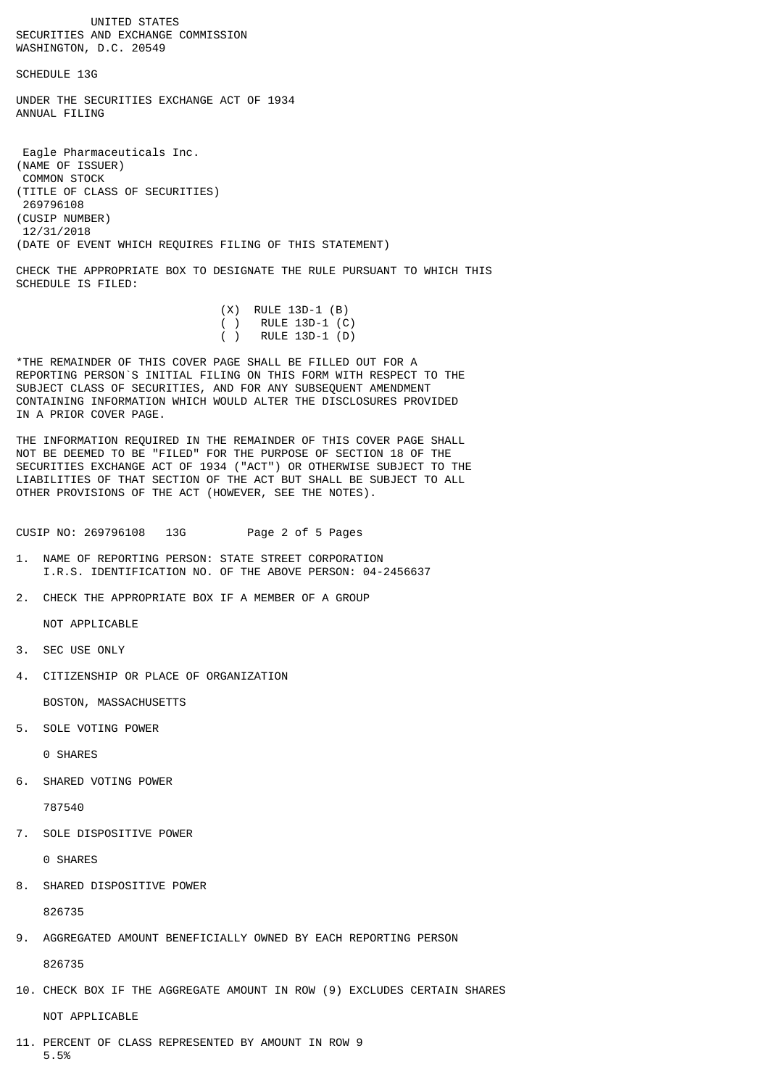UNITED STATES SECURITIES AND EXCHANGE COMMISSION WASHINGTON, D.C. 20549

SCHEDULE 13G

UNDER THE SECURITIES EXCHANGE ACT OF 1934 ANNUAL FTLTNG

 Eagle Pharmaceuticals Inc. (NAME OF ISSUER) COMMON STOCK (TITLE OF CLASS OF SECURITIES) 269796108 (CUSIP NUMBER) 12/31/2018 (DATE OF EVENT WHICH REQUIRES FILING OF THIS STATEMENT)

CHECK THE APPROPRIATE BOX TO DESIGNATE THE RULE PURSUANT TO WHICH THIS SCHEDULE IS FILED:

|  | $(X)$ RULE 13D-1 $(B)$   |
|--|--------------------------|
|  | $( )$ RULE 13D-1 $( C )$ |
|  | $( )$ RULE 13D-1 $( D )$ |

\*THE REMAINDER OF THIS COVER PAGE SHALL BE FILLED OUT FOR A REPORTING PERSON`S INITIAL FILING ON THIS FORM WITH RESPECT TO THE SUBJECT CLASS OF SECURITIES, AND FOR ANY SUBSEQUENT AMENDMENT CONTAINING INFORMATION WHICH WOULD ALTER THE DISCLOSURES PROVIDED IN A PRIOR COVER PAGE.

THE INFORMATION REQUIRED IN THE REMAINDER OF THIS COVER PAGE SHALL NOT BE DEEMED TO BE "FILED" FOR THE PURPOSE OF SECTION 18 OF THE SECURITIES EXCHANGE ACT OF 1934 ("ACT") OR OTHERWISE SUBJECT TO THE LIABILITIES OF THAT SECTION OF THE ACT BUT SHALL BE SUBJECT TO ALL OTHER PROVISIONS OF THE ACT (HOWEVER, SEE THE NOTES).

CUSIP NO: 269796108 13G Page 2 of 5 Pages

- 1. NAME OF REPORTING PERSON: STATE STREET CORPORATION I.R.S. IDENTIFICATION NO. OF THE ABOVE PERSON: 04-2456637
- 2. CHECK THE APPROPRIATE BOX IF A MEMBER OF A GROUP

NOT APPLICABLE

- 3. SEC USE ONLY
- 4. CITIZENSHIP OR PLACE OF ORGANIZATION

BOSTON, MASSACHUSETTS

5. SOLE VOTING POWER

0 SHARES

6. SHARED VOTING POWER

787540

7. SOLE DISPOSITIVE POWER

0 SHARES

8. SHARED DISPOSITIVE POWER

826735

9. AGGREGATED AMOUNT BENEFICIALLY OWNED BY EACH REPORTING PERSON

826735

10. CHECK BOX IF THE AGGREGATE AMOUNT IN ROW (9) EXCLUDES CERTAIN SHARES

NOT APPLICABLE

11. PERCENT OF CLASS REPRESENTED BY AMOUNT IN ROW 9 5.5%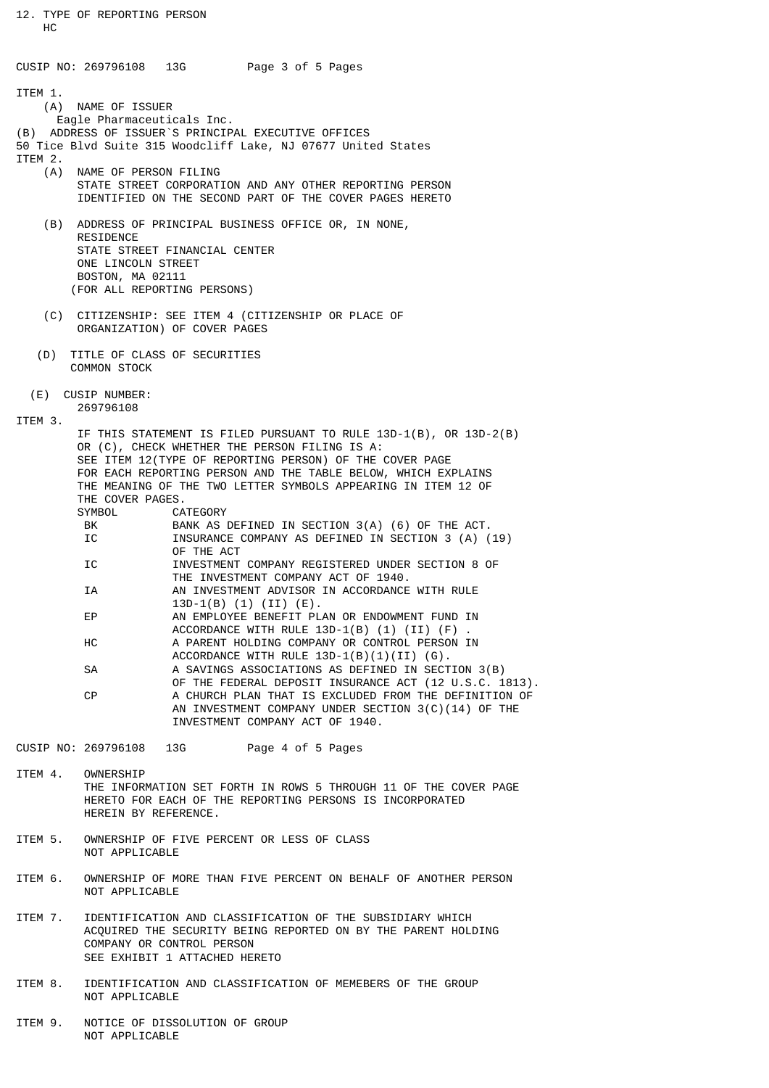12. TYPE OF REPORTING PERSON HC CUSIP NO: 269796108 13G Page 3 of 5 Pages ITEM 1. (A) NAME OF ISSUER Eagle Pharmaceuticals Inc. (B) ADDRESS OF ISSUER`S PRINCIPAL EXECUTIVE OFFICES 50 Tice Blvd Suite 315 Woodcliff Lake, NJ 07677 United States ITEM 2.<br>(A) NAME OF PERSON FILING STATE STREET CORPORATION AND ANY OTHER REPORTING PERSON IDENTIFIED ON THE SECOND PART OF THE COVER PAGES HERETO (B) ADDRESS OF PRINCIPAL BUSINESS OFFICE OR, IN NONE, **RESTDENCE**  STATE STREET FINANCIAL CENTER ONE LINCOLN STREET BOSTON, MA 02111 (FOR ALL REPORTING PERSONS) (C) CITIZENSHIP: SEE ITEM 4 (CITIZENSHIP OR PLACE OF ORGANIZATION) OF COVER PAGES (D) TITLE OF CLASS OF SECURITIES COMMON STOCK (E) CUSIP NUMBER: 269796108 ITEM 3. IF THIS STATEMENT IS FILED PURSUANT TO RULE 13D-1(B), OR 13D-2(B) OR (C), CHECK WHETHER THE PERSON FILING IS A: SEE ITEM 12(TYPE OF REPORTING PERSON) OF THE COVER PAGE FOR EACH REPORTING PERSON AND THE TABLE BELOW, WHICH EXPLAINS THE MEANING OF THE TWO LETTER SYMBOLS APPEARING IN ITEM 12 OF THE COVER PAGES. CATEGORY BK BANK AS DEFINED IN SECTION 3(A) (6) OF THE ACT. IC **INSURANCE COMPANY AS DEFINED IN SECTION 3 (A) (19)**  OF THE ACT IC INVESTMENT COMPANY REGISTERED UNDER SECTION 8 OF THE INVESTMENT COMPANY ACT OF 1940. IA AN INVESTMENT ADVISOR IN ACCORDANCE WITH RULE 13D-1(B) (1) (II) (E). AN EMPLOYEE BENEFIT PLAN OR ENDOWMENT FUND IN ACCORDANCE WITH RULE  $13D-1(B)$  (1) (II)  $(F)$ HC A PARENT HOLDING COMPANY OR CONTROL PERSON IN ACCORDANCE WITH RULE  $13D-1(B)(1)(II)$  (G). SA A SAVINGS ASSOCIATIONS AS DEFINED IN SECTION 3(B) OF THE FEDERAL DEPOSIT INSURANCE ACT (12 U.S.C. 1813). CP A CHURCH PLAN THAT IS EXCLUDED FROM THE DEFINITION OF AN INVESTMENT COMPANY UNDER SECTION 3(C)(14) OF THE INVESTMENT COMPANY ACT OF 1940. CUSIP NO: 269796108 13G Page 4 of 5 Pages ITEM 4. OWNERSHIP THE INFORMATION SET FORTH IN ROWS 5 THROUGH 11 OF THE COVER PAGE HERETO FOR EACH OF THE REPORTING PERSONS IS INCORPORATED HEREIN BY REFERENCE. ITEM 5. OWNERSHIP OF FIVE PERCENT OR LESS OF CLASS NOT APPLICABLE ITEM 6. OWNERSHIP OF MORE THAN FIVE PERCENT ON BEHALF OF ANOTHER PERSON NOT APPLICABLE ITEM 7. IDENTIFICATION AND CLASSIFICATION OF THE SUBSIDIARY WHICH

 ACQUIRED THE SECURITY BEING REPORTED ON BY THE PARENT HOLDING COMPANY OR CONTROL PERSON SEE EXHIBIT 1 ATTACHED HERETO

ITEM 8. IDENTIFICATION AND CLASSIFICATION OF MEMEBERS OF THE GROUP NOT APPLICABLE

ITEM 9. NOTICE OF DISSOLUTION OF GROUP NOT APPLICABLE